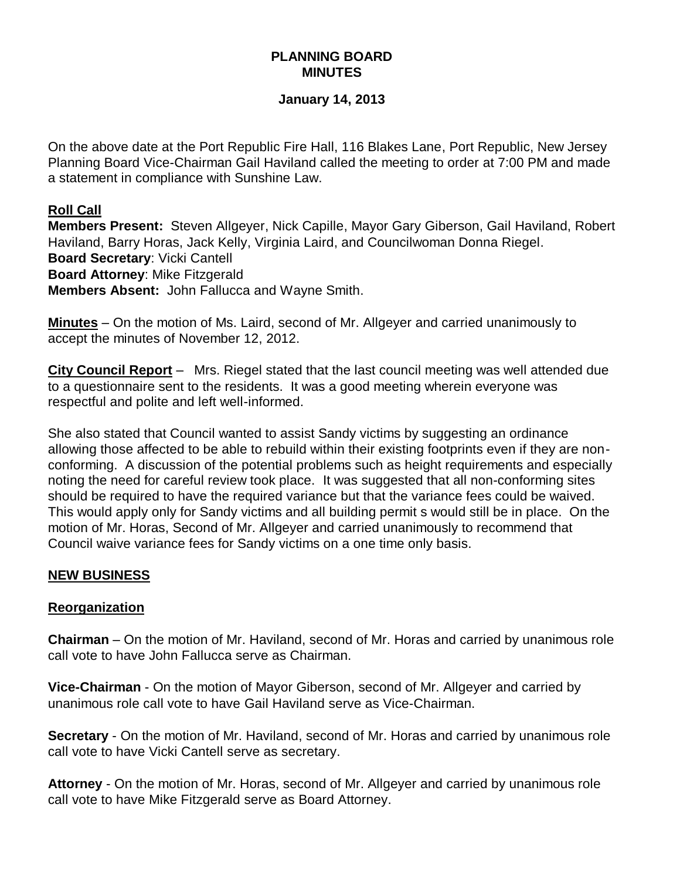## **PLANNING BOARD MINUTES**

#### **January 14, 2013**

On the above date at the Port Republic Fire Hall, 116 Blakes Lane, Port Republic, New Jersey Planning Board Vice-Chairman Gail Haviland called the meeting to order at 7:00 PM and made a statement in compliance with Sunshine Law.

#### **Roll Call**

**Members Present:** Steven Allgeyer, Nick Capille, Mayor Gary Giberson, Gail Haviland, Robert Haviland, Barry Horas, Jack Kelly, Virginia Laird, and Councilwoman Donna Riegel. **Board Secretary**: Vicki Cantell **Board Attorney**: Mike Fitzgerald **Members Absent:** John Fallucca and Wayne Smith.

**Minutes** – On the motion of Ms. Laird, second of Mr. Allgeyer and carried unanimously to accept the minutes of November 12, 2012.

**City Council Report** – Mrs. Riegel stated that the last council meeting was well attended due to a questionnaire sent to the residents. It was a good meeting wherein everyone was respectful and polite and left well-informed.

She also stated that Council wanted to assist Sandy victims by suggesting an ordinance allowing those affected to be able to rebuild within their existing footprints even if they are nonconforming. A discussion of the potential problems such as height requirements and especially noting the need for careful review took place. It was suggested that all non-conforming sites should be required to have the required variance but that the variance fees could be waived. This would apply only for Sandy victims and all building permit s would still be in place. On the motion of Mr. Horas, Second of Mr. Allgeyer and carried unanimously to recommend that Council waive variance fees for Sandy victims on a one time only basis.

#### **NEW BUSINESS**

#### **Reorganization**

**Chairman** – On the motion of Mr. Haviland, second of Mr. Horas and carried by unanimous role call vote to have John Fallucca serve as Chairman.

**Vice-Chairman** - On the motion of Mayor Giberson, second of Mr. Allgeyer and carried by unanimous role call vote to have Gail Haviland serve as Vice-Chairman.

**Secretary** - On the motion of Mr. Haviland, second of Mr. Horas and carried by unanimous role call vote to have Vicki Cantell serve as secretary.

**Attorney** - On the motion of Mr. Horas, second of Mr. Allgeyer and carried by unanimous role call vote to have Mike Fitzgerald serve as Board Attorney.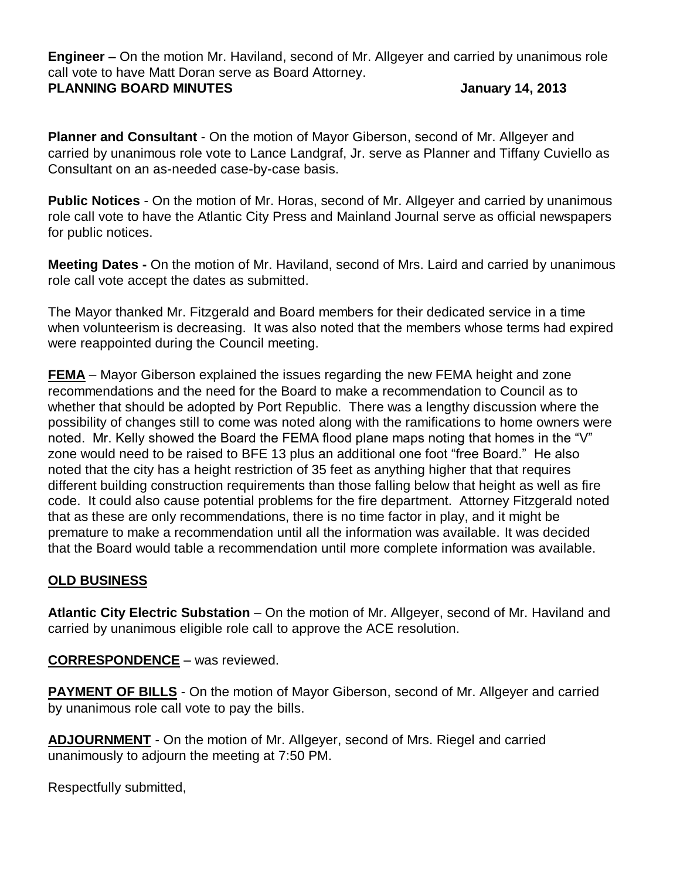**Engineer –** On the motion Mr. Haviland, second of Mr. Allgeyer and carried by unanimous role call vote to have Matt Doran serve as Board Attorney.

### **PLANNING BOARD MINUTES January 14, 2013**

**Planner and Consultant** - On the motion of Mayor Giberson, second of Mr. Allgeyer and carried by unanimous role vote to Lance Landgraf, Jr. serve as Planner and Tiffany Cuviello as Consultant on an as-needed case-by-case basis.

**Public Notices** - On the motion of Mr. Horas, second of Mr. Allgeyer and carried by unanimous role call vote to have the Atlantic City Press and Mainland Journal serve as official newspapers for public notices.

**Meeting Dates -** On the motion of Mr. Haviland, second of Mrs. Laird and carried by unanimous role call vote accept the dates as submitted.

The Mayor thanked Mr. Fitzgerald and Board members for their dedicated service in a time when volunteerism is decreasing. It was also noted that the members whose terms had expired were reappointed during the Council meeting.

**FEMA** – Mayor Giberson explained the issues regarding the new FEMA height and zone recommendations and the need for the Board to make a recommendation to Council as to whether that should be adopted by Port Republic. There was a lengthy discussion where the possibility of changes still to come was noted along with the ramifications to home owners were noted. Mr. Kelly showed the Board the FEMA flood plane maps noting that homes in the "V" zone would need to be raised to BFE 13 plus an additional one foot "free Board." He also noted that the city has a height restriction of 35 feet as anything higher that that requires different building construction requirements than those falling below that height as well as fire code. It could also cause potential problems for the fire department. Attorney Fitzgerald noted that as these are only recommendations, there is no time factor in play, and it might be premature to make a recommendation until all the information was available. It was decided that the Board would table a recommendation until more complete information was available.

# **OLD BUSINESS**

**Atlantic City Electric Substation** – On the motion of Mr. Allgeyer, second of Mr. Haviland and carried by unanimous eligible role call to approve the ACE resolution.

**CORRESPONDENCE** – was reviewed.

**PAYMENT OF BILLS** - On the motion of Mayor Giberson, second of Mr. Allgeyer and carried by unanimous role call vote to pay the bills.

**ADJOURNMENT** - On the motion of Mr. Allgeyer, second of Mrs. Riegel and carried unanimously to adjourn the meeting at 7:50 PM.

Respectfully submitted,